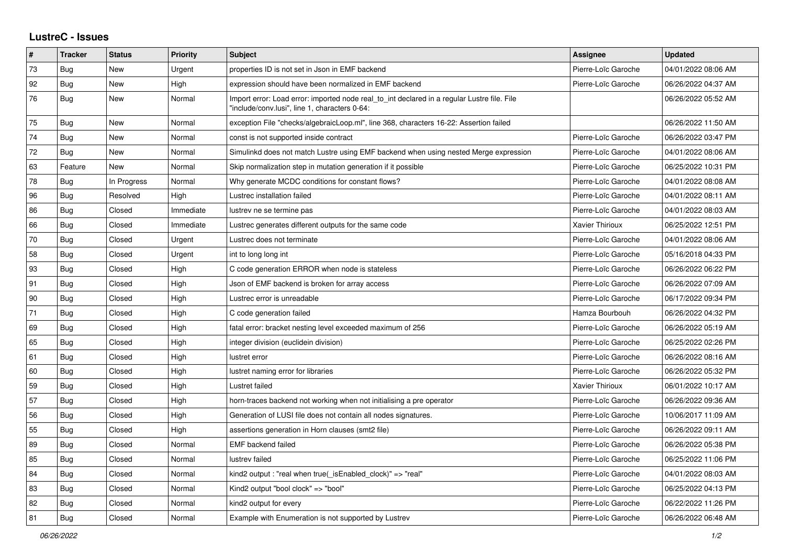## **LustreC - Issues**

| #  | <b>Tracker</b> | <b>Status</b> | <b>Priority</b> | <b>Subject</b>                                                                                                                               | Assignee            | <b>Updated</b>      |
|----|----------------|---------------|-----------------|----------------------------------------------------------------------------------------------------------------------------------------------|---------------------|---------------------|
| 73 | Bug            | New           | Urgent          | properties ID is not set in Json in EMF backend                                                                                              | Pierre-Loïc Garoche | 04/01/2022 08:06 AM |
| 92 | <b>Bug</b>     | <b>New</b>    | High            | expression should have been normalized in EMF backend                                                                                        | Pierre-Loïc Garoche | 06/26/2022 04:37 AM |
| 76 | <b>Bug</b>     | <b>New</b>    | Normal          | Import error: Load error: imported node real_to_int declared in a regular Lustre file. File<br>'include/conv.lusi", line 1, characters 0-64: |                     | 06/26/2022 05:52 AM |
| 75 | <b>Bug</b>     | <b>New</b>    | Normal          | exception File "checks/algebraicLoop.ml", line 368, characters 16-22: Assertion failed                                                       |                     | 06/26/2022 11:50 AM |
| 74 | Bug            | <b>New</b>    | Normal          | const is not supported inside contract                                                                                                       | Pierre-Loïc Garoche | 06/26/2022 03:47 PM |
| 72 | <b>Bug</b>     | New           | Normal          | Simulinkd does not match Lustre using EMF backend when using nested Merge expression                                                         | Pierre-Loïc Garoche | 04/01/2022 08:06 AM |
| 63 | Feature        | <b>New</b>    | Normal          | Skip normalization step in mutation generation if it possible                                                                                | Pierre-Loïc Garoche | 06/25/2022 10:31 PM |
| 78 | Bug            | In Progress   | Normal          | Why generate MCDC conditions for constant flows?                                                                                             | Pierre-Loïc Garoche | 04/01/2022 08:08 AM |
| 96 | Bug            | Resolved      | High            | Lustrec installation failed                                                                                                                  | Pierre-Loïc Garoche | 04/01/2022 08:11 AM |
| 86 | Bug            | Closed        | Immediate       | lustrev ne se termine pas                                                                                                                    | Pierre-Loïc Garoche | 04/01/2022 08:03 AM |
| 66 | Bug            | Closed        | Immediate       | Lustrec generates different outputs for the same code                                                                                        | Xavier Thirioux     | 06/25/2022 12:51 PM |
| 70 | <b>Bug</b>     | Closed        | Urgent          | Lustrec does not terminate                                                                                                                   | Pierre-Loïc Garoche | 04/01/2022 08:06 AM |
| 58 | Bug            | Closed        | Urgent          | int to long long int                                                                                                                         | Pierre-Loïc Garoche | 05/16/2018 04:33 PM |
| 93 | Bug            | Closed        | High            | C code generation ERROR when node is stateless                                                                                               | Pierre-Loïc Garoche | 06/26/2022 06:22 PM |
| 91 | Bug            | Closed        | High            | Json of EMF backend is broken for array access                                                                                               | Pierre-Loïc Garoche | 06/26/2022 07:09 AM |
| 90 | Bug            | Closed        | High            | Lustrec error is unreadable                                                                                                                  | Pierre-Loïc Garoche | 06/17/2022 09:34 PM |
| 71 | <b>Bug</b>     | Closed        | High            | C code generation failed                                                                                                                     | Hamza Bourbouh      | 06/26/2022 04:32 PM |
| 69 | Bug            | Closed        | High            | fatal error: bracket nesting level exceeded maximum of 256                                                                                   | Pierre-Loïc Garoche | 06/26/2022 05:19 AM |
| 65 | Bug            | Closed        | High            | integer division (euclidein division)                                                                                                        | Pierre-Loïc Garoche | 06/25/2022 02:26 PM |
| 61 | Bug            | Closed        | High            | lustret error                                                                                                                                | Pierre-Loïc Garoche | 06/26/2022 08:16 AM |
| 60 | Bug            | Closed        | High            | lustret naming error for libraries                                                                                                           | Pierre-Loïc Garoche | 06/26/2022 05:32 PM |
| 59 | Bug            | Closed        | High            | Lustret failed                                                                                                                               | Xavier Thirioux     | 06/01/2022 10:17 AM |
| 57 | <b>Bug</b>     | Closed        | High            | horn-traces backend not working when not initialising a pre operator                                                                         | Pierre-Loïc Garoche | 06/26/2022 09:36 AM |
| 56 | <b>Bug</b>     | Closed        | High            | Generation of LUSI file does not contain all nodes signatures.                                                                               | Pierre-Loïc Garoche | 10/06/2017 11:09 AM |
| 55 | Bug            | Closed        | High            | assertions generation in Horn clauses (smt2 file)                                                                                            | Pierre-Loïc Garoche | 06/26/2022 09:11 AM |
| 89 | Bug            | Closed        | Normal          | EMF backend failed                                                                                                                           | Pierre-Loïc Garoche | 06/26/2022 05:38 PM |
| 85 | Bug            | Closed        | Normal          | lustrev failed                                                                                                                               | Pierre-Loïc Garoche | 06/25/2022 11:06 PM |
| 84 | Bug            | Closed        | Normal          | kind2 output : "real when true( is Enabled clock)" = > "real"                                                                                | Pierre-Loïc Garoche | 04/01/2022 08:03 AM |
| 83 | Bug            | Closed        | Normal          | Kind2 output "bool clock" => "bool"                                                                                                          | Pierre-Loïc Garoche | 06/25/2022 04:13 PM |
| 82 | <b>Bug</b>     | Closed        | Normal          | kind2 output for every                                                                                                                       | Pierre-Loïc Garoche | 06/22/2022 11:26 PM |
| 81 | <b>Bug</b>     | Closed        | Normal          | Example with Enumeration is not supported by Lustrev                                                                                         | Pierre-Loïc Garoche | 06/26/2022 06:48 AM |